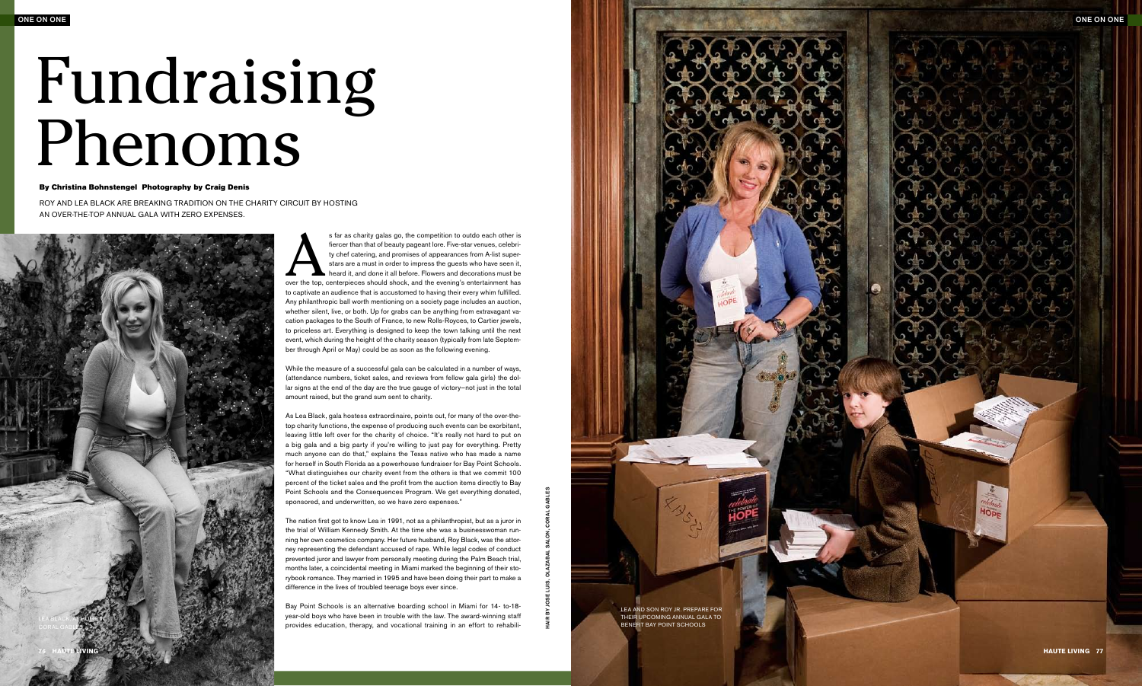## By Christina Bohnstengel Photography by Craig Denis

ROY AND LEA BLACK ARE BREAKING TRADITION ON THE CHARITY CIRCUIT BY HOSTING an ove r-the-top annua l ga la with ze ro expenses.

## Fundraising By Christine Bohnstengel Photography by Craig Denis<br>
ROY AND LEA BLACK ARE BREAKING TRADITION ON THE CHARITY CIRCUIT BY HOSTING<br>
AN OVER-THE-TOP ANNUAL GALA WITH ZERO EXPENSES.<br>
Star as charity galas go, the competition to

fiercer than that of beauty pageant lore. Five-star venues, celebri ty chef catering, and promises of appearances from A-list super stars are a must in order to impress the guests who have seen it, heard it, and done it all before. Flowers and decorations must be over the top, centerpieces should shock, and the evening's entertainment has Any philanthropic ball worth mentioning on a society page includes an auction, whether silent, live, or both. Up for grabs can be anything from extravagant va cation packages to the South of France, to new Rolls-Royces, to Cartier jewels, to priceless art. Everything is designed to keep the town talking until the next event, which during the height of the charity season (typically from late Septem ber through April or May) could be as soon as the following evening.

While the measure of a successful gala can be calculated in a number of ways, (attendance numbers, ticket sales, and reviews from fellow gala girls) the dol lar signs at the end of the day are the true gauge of victory—not just in the total amount raised, but the grand sum sent to charity.

As Lea Black, gala hostess extraordinaire, points out, for many of the over-thetop charity functions, the expense of producing such events can be exorbitant, leaving little left over for the charity of choice. " It's really not hard to put on a big gala and a big party if you're willing to just pay for everything. Pretty much anyone can do that," explains the Texas native who has made a name for herself in South Florida as a powerhouse fundraiser for Bay Point Schools. " What distinguishes our charity event from the others is that we commit 100 percent of the ticket sales and the profit from the auction items directly to Bay Point Schools and the Consequences Program. We get everything donated, sponsored, and underwritten, so we have zero expenses."

The nation first got to know Lea in 1991, not as a philanthropist, but as a juror in the trial of William Kennedy Smith. At the time she was a businesswoman running her own cosmetics company. Her future husband, Roy Black, was the attor ney representing the defendant accused of rape. While legal codes of conduct prevented juror and lawyer from personally meeting during the Palm Beach trial, months later, a coincidental meeting in Miami marked the beginning of their sto rybook romance. They married in 1995 and have been doing their part to make a difference in the lives of troubled teenage boys ever since.

Bay Point Schools is an alternative boarding school in Miami for 14- to-18 year-old boys who have been in trouble with the law. The award-winning staff provides education, therapy, and vocational training in an effort to rehabili -





Hair by Jose Luis, Olazabal Salon, Coral Gables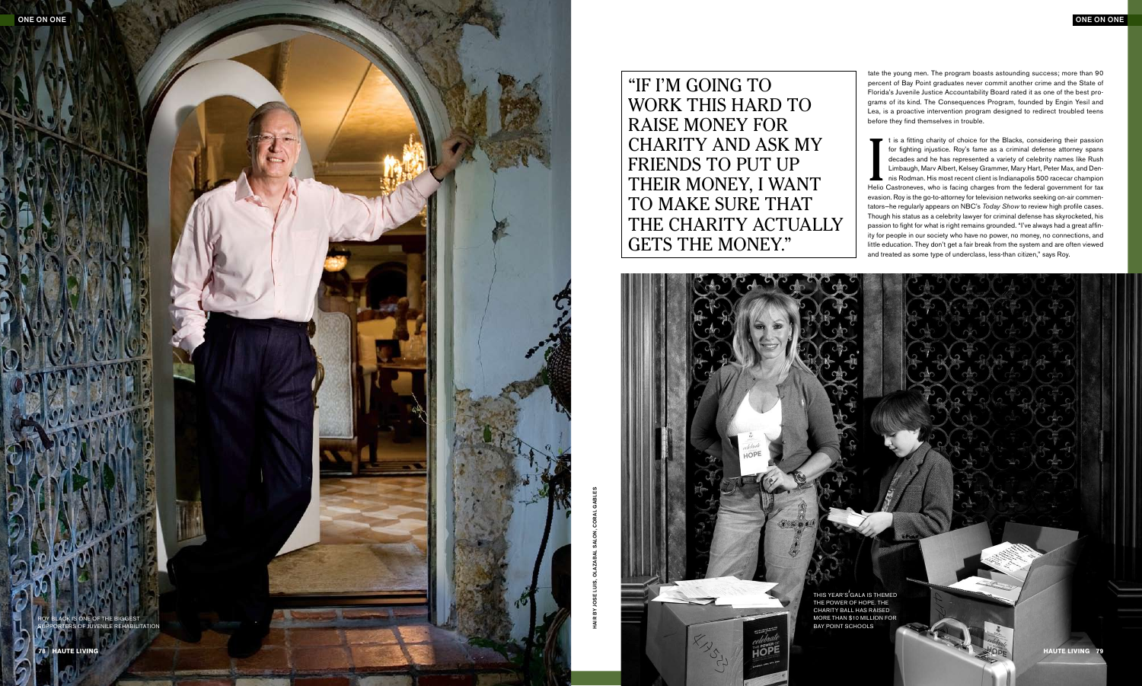WORK THIS HARD TO charity and ask my FRIENDS TO PUT UP THEIR MONEY, I WANT TO MAKE SURE THAT THE CHARITY ACTUALLY

 $1991$ 

tate the young men. The program boasts astounding success; more than 90 percent of Bay Point graduates never commit another crime and the State of Florida's Juvenile Justice Accountability Board rated it as one of the best programs of its kind. The Consequences Program, founded by Engin Yesil and Lea, is a proactive intervention program designed to redirect troubled teens before they find themselves in trouble.

It is a fitting charity of choice for the Blacks, considering their passion<br>for fighting injustice. Roy's fame as a criminal defense attorney spans<br>decades and he has represented a variety of celebrity names like Rush<br>Limb t is a fitting charity of choice for the Blacks, considering their passion for fighting injustice. Roy's fame as a criminal defense attorney spans decades and he has represented a variety of celebrity names like Rush Limbaugh, Marv Albert, Kelsey Grammer, Mary Hart, Peter Max, and Dennis Rodman. His most recent client is Indianapolis 500 racecar champion evasion. Roy is the go-to-attorney for television networks seeking on-air commentators—he regularly appears on NBC's *Today Show* to review high profile cases. Though his status as a celebrity lawyer for criminal defense has skyrocketed, his passion to fight for what is right remains grounded. "I've always had a great affinity for people in our society who have no power, no money, no connections, and little education. They don't get a fair break from the system and are often viewed and treated as some type of underclass, less-than citizen," says Roy.





roy black is one of the biggest supporters of juvenile rehabilitation

"IF I'M GOING TO raise money for GETS THE MONEY."

> this year's gala is themed the power of hope. the charity ball has raised more than \$10 million for bay point schools

Hair by J ose Luis, Olazabal Salon, Coral Gables